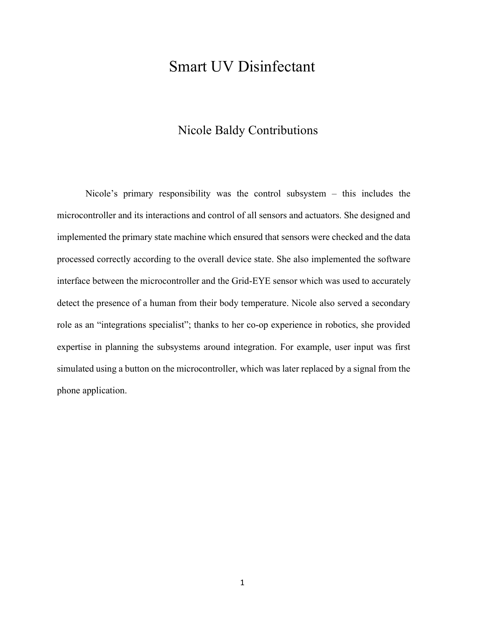## Smart UV Disinfectant

## Nicole Baldy Contributions

Nicole's primary responsibility was the control subsystem – this includes the microcontroller and its interactions and control of all sensors and actuators. She designed and implemented the primary state machine which ensured that sensors were checked and the data processed correctly according to the overall device state. She also implemented the software interface between the microcontroller and the Grid-EYE sensor which was used to accurately detect the presence of a human from their body temperature. Nicole also served a secondary role as an "integrations specialist"; thanks to her co-op experience in robotics, she provided expertise in planning the subsystems around integration. For example, user input was first simulated using a button on the microcontroller, which was later replaced by a signal from the phone application.